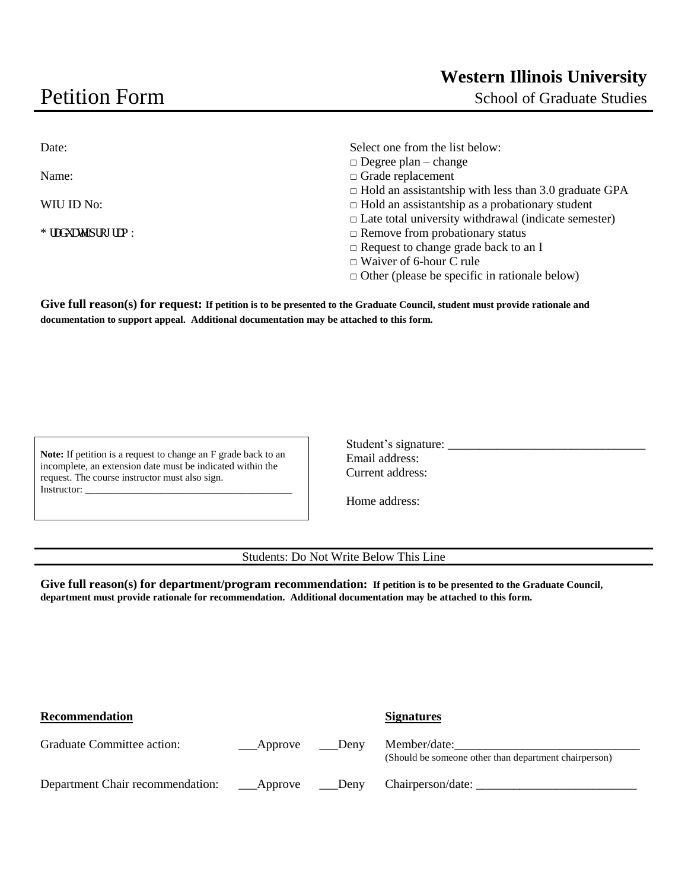## Petition Form

School of Graduate Studies

| Date:               | Select one from the list below:                              |
|---------------------|--------------------------------------------------------------|
|                     | $\Box$ Degree plan – change                                  |
| Name:               | $\Box$ Grade replacement                                     |
|                     | $\Box$ Hold an assistantship with less than 3.0 graduate GPA |
| WIU ID No:          | $\Box$ Hold an assistantship as a probationary student       |
|                     | $\Box$ Late total university withdrawal (indicate semester)  |
| I tef weg'rtqi teo: | $\Box$ Remove from probationary status                       |
|                     | $\Box$ Request to change grade back to an I                  |
|                     | $\Box$ Waiver of 6-hour C rule                               |
|                     | $\Box$ Other (please be specific in rationale below)         |

**Give full reason(s) for request: If petition is to be presented to the Graduate Council, student must provide rationale and documentation to support appeal. Additional documentation may be attached to this form.** 

**Note:** If petition is a request to change an F grade back to an incomplete, an extension date must be indicated within the request. The course instructor must also sign. Instructor:

| Student's signature: |
|----------------------|
| Email address:       |
| Current address:     |

Home address:

Students: Do Not Write Below This Line

**Give full reason(s) for department/program recommendation: If petition is to be presented to the Graduate Council, department must provide rationale for recommendation. Additional documentation may be attached to this form.**

| <b>Recommendation</b>            |              |      | <b>Signatures</b>                                                     |
|----------------------------------|--------------|------|-----------------------------------------------------------------------|
| Graduate Committee action:       | _____Approve | Deny | Member/date:<br>(Should be someone other than department chairperson) |
| Department Chair recommendation: | Approve      | Deny | Chairperson/date:                                                     |